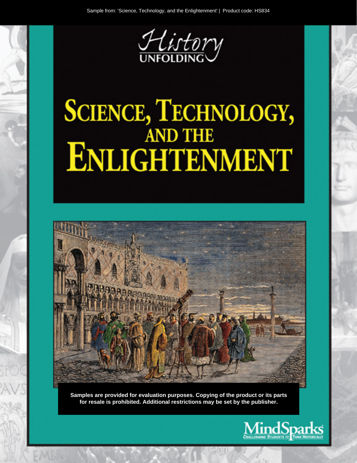

# **SCIENCE, TECHNOLOGY,<br>AND THE ENLIGHTENMENT**



Samples are provided for evaluation purposes. Copying of the product or its parts for resale is prohibited. Additional restrictions may be set by the publisher.

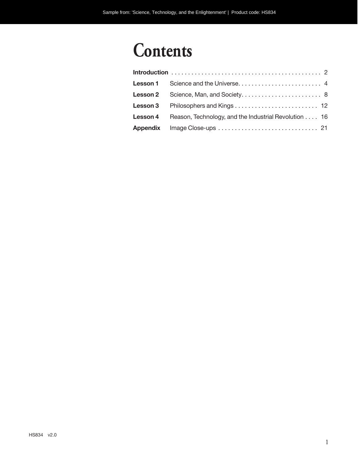# **Contents**

| Lesson 4 Reason, Technology, and the Industrial Revolution 16 |
|---------------------------------------------------------------|
|                                                               |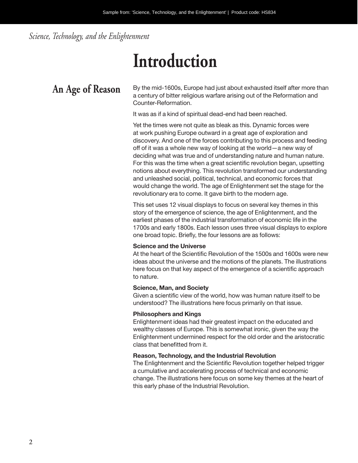*Science, Technology, and the Enlightenment*

# **Introduction**

An Age of Reason By the mid-1600s, Europe had just about exhausted itself after more than a century of bitter religious warfare arising out of the Reformation and Counter-Reformation.

It was as if a kind of spiritual dead-end had been reached.

Yet the times were not quite as bleak as this. Dynamic forces were at work pushing Europe outward in a great age of exploration and discovery. And one of the forces contributing to this process and feeding off of it was a whole new way of looking at the world—a new way of deciding what was true and of understanding nature and human nature. For this was the time when a great scientific revolution began, upsetting notions about everything. This revolution transformed our understanding and unleashed social, political, technical, and economic forces that would change the world. The age of Enlightenment set the stage for the revolutionary era to come. It gave birth to the modern age.

This set uses 12 visual displays to focus on several key themes in this story of the emergence of science, the age of Enlightenment, and the earliest phases of the industrial transformation of economic life in the 1700s and early 1800s. Each lesson uses three visual displays to explore one broad topic. Briefly, the four lessons are as follows:

## **Science and the Universe**

At the heart of the Scientific Revolution of the 1500s and 1600s were new ideas about the universe and the motions of the planets. The illustrations here focus on that key aspect of the emergence of a scientific approach to nature.

## **Science, Man, and Society**

Given a scientific view of the world, how was human nature itself to be understood? The illustrations here focus primarily on that issue.

## **Philosophers and Kings**

Enlightenment ideas had their greatest impact on the educated and wealthy classes of Europe. This is somewhat ironic, given the way the Enlightenment undermined respect for the old order and the aristocratic class that benefitted from it.

## **Reason, Technology, and the Industrial Revolution**

The Enlightenment and the Scientific Revolution together helped trigger a cumulative and accelerating process of technical and economic change. The illustrations here focus on some key themes at the heart of this early phase of the Industrial Revolution.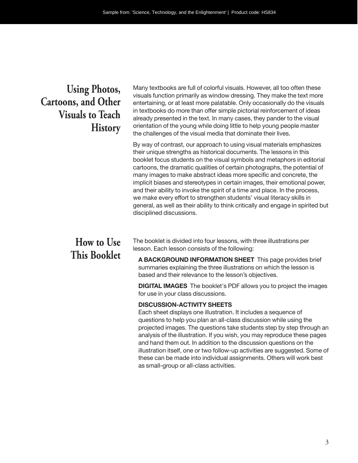## **Using Photos, Cartoons, and Other Visuals to Teach History**

Many textbooks are full of colorful visuals. However, all too often these visuals function primarily as window dressing. They make the text more entertaining, or at least more palatable. Only occasionally do the visuals in textbooks do more than offer simple pictorial reinforcement of ideas already presented in the text. In many cases, they pander to the visual orientation of the young while doing little to help young people master the challenges of the visual media that dominate their lives.

By way of contrast, our approach to using visual materials emphasizes their unique strengths as historical documents. The lessons in this booklet focus students on the visual symbols and metaphors in editorial cartoons, the dramatic qualities of certain photographs, the potential of many images to make abstract ideas more specific and concrete, the implicit biases and stereotypes in certain images, their emotional power, and their ability to invoke the spirit of a time and place. In the process, we make every effort to strengthen students' visual literacy skills in general, as well as their ability to think critically and engage in spirited but disciplined discussions.

## **How to Use This Booklet**

The booklet is divided into four lessons, with three illustrations per lesson. Each lesson consists of the following:

**A BACKGROUND INFORMATION SHEET** This page provides brief summaries explaining the three illustrations on which the lesson is based and their relevance to the lesson's objectives.

**DIGITAL IMAGES** The booklet's PDF allows you to project the images for use in your class discussions.

## **DISCUSSION-ACTIVITY SHEETS**

Each sheet displays one illustration. It includes a sequence of questions to help you plan an all-class discussion while using the projected images. The questions take students step by step through an analysis of the illustration. If you wish, you may reproduce these pages and hand them out. In addition to the discussion questions on the illustration itself, one or two follow-up activities are suggested. Some of these can be made into individual assignments. Others will work best as small-group or all- class activities.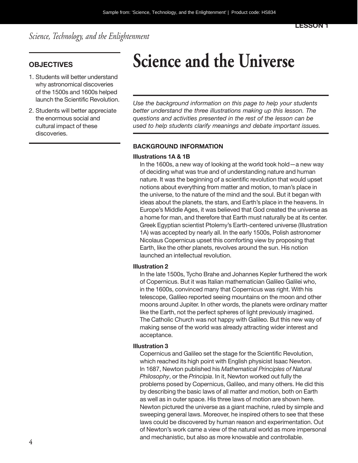*Science, Technology, and the Enlightenment*

- 1. Students will better understand why astronomical discoveries of the 1500s and 1600s helped launch the Scientific Revolution.
- 2. Students will better appreciate the enormous social and cultural impact of these discoveries.

# **OBJECTIVES Science and the Universe**

*Use the background information on this page to help your students better understand the three illustrations making up this lesson. The questions and activities presented in the rest of the lesson can be used to help students clarify meanings and debate important issues.*

## **BACKGROUND INFORMATION**

## **Illustrations 1A & 1B**

In the 1600s, a new way of looking at the world took hold—a new way of deciding what was true and of understanding nature and human nature. It was the beginning of a scientific revolution that would upset notions about everything from matter and motion, to man's place in the universe, to the nature of the mind and the soul. But it began with ideas about the planets, the stars, and Earth's place in the heavens. In Europe's Middle Ages, it was believed that God created the universe as a home for man, and therefore that Earth must naturally be at its center. Greek Egyptian scientist Ptolemy's Earth-centered universe (Illustration 1A) was accepted by nearly all. In the early 1500s, Polish astronomer Nicolaus Copernicus upset this comforting view by proposing that Earth, like the other planets, revolves around the sun. His notion launched an intellectual revolution.

#### **Illustration 2**

In the late 1500s, Tycho Brahe and Johannes Kepler furthered the work of Copernicus. But it was Italian mathematician Galileo Galilei who, in the 1600s, convinced many that Copernicus was right. With his telescope, Galileo reported seeing mountains on the moon and other moons around Jupiter. In other words, the planets were ordinary matter like the Earth, not the perfect spheres of light previously imagined. The Catholic Church was not happy with Galileo. But this new way of making sense of the world was already attracting wider interest and acceptance.

## **Illustration 3**

Copernicus and Galileo set the stage for the Scientific Revolution, which reached its high point with English physicist Isaac Newton. In 1687, Newton published his *Mathematical Principles of Natural Philosophy*, or the *Principia*. In it, Newton worked out fully the problems posed by Copernicus, Galileo, and many others. He did this by describing the basic laws of all matter and motion, both on Earth as well as in outer space. His three laws of motion are shown here. Newton pictured the universe as a giant machine, ruled by simple and sweeping general laws. Moreover, he inspired others to see that these laws could be discovered by human reason and experimentation. Out of Newton's work came a view of the natural world as more impersonal and mechanistic, but also as more knowable and controllable.